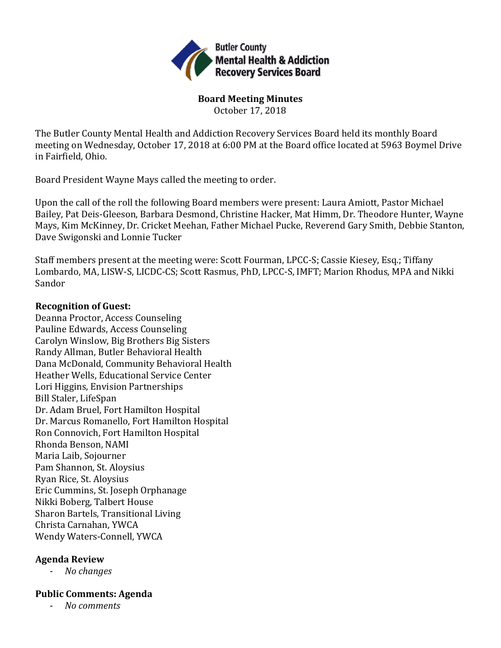

**Board Meeting Minutes** October 17, 2018

The Butler County Mental Health and Addiction Recovery Services Board held its monthly Board meeting on Wednesday, October 17, 2018 at 6:00 PM at the Board office located at 5963 Boymel Drive in Fairfield, Ohio.

Board President Wayne Mays called the meeting to order.

Upon the call of the roll the following Board members were present: Laura Amiott, Pastor Michael Bailey, Pat Deis-Gleeson, Barbara Desmond, Christine Hacker, Mat Himm, Dr. Theodore Hunter, Wayne Mays, Kim McKinney, Dr. Cricket Meehan, Father Michael Pucke, Reverend Gary Smith, Debbie Stanton, Dave Swigonski and Lonnie Tucker

Staff members present at the meeting were: Scott Fourman, LPCC-S; Cassie Kiesey, Esq.; Tiffany Lombardo, MA, LISW-S, LICDC-CS; Scott Rasmus, PhD, LPCC-S, IMFT; Marion Rhodus, MPA and Nikki Sandor

### **Recognition of Guest:**

Deanna Proctor, Access Counseling Pauline Edwards, Access Counseling Carolyn Winslow, Big Brothers Big Sisters Randy Allman, Butler Behavioral Health Dana McDonald, Community Behavioral Health Heather Wells, Educational Service Center Lori Higgins, Envision Partnerships Bill Staler, LifeSpan Dr. Adam Bruel, Fort Hamilton Hospital Dr. Marcus Romanello, Fort Hamilton Hospital Ron Connovich, Fort Hamilton Hospital Rhonda Benson, NAMI Maria Laib, Sojourner Pam Shannon, St. Aloysius Ryan Rice, St. Aloysius Eric Cummins, St. Joseph Orphanage Nikki Boberg, Talbert House Sharon Bartels, Transitional Living Christa Carnahan, YWCA Wendy Waters-Connell, YWCA

# **Agenda Review**

- *No changes*

# **Public Comments: Agenda**

- *No comments*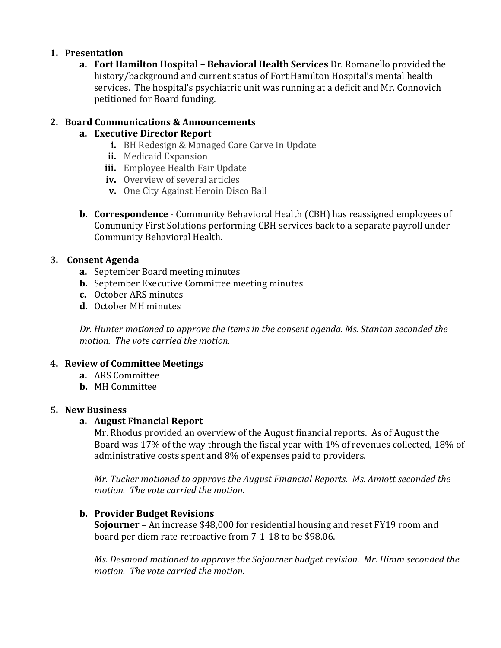### **1. Presentation**

**a. Fort Hamilton Hospital – Behavioral Health Services** Dr. Romanello provided the history/background and current status of Fort Hamilton Hospital's mental health services. The hospital's psychiatric unit was running at a deficit and Mr. Connovich petitioned for Board funding.

## **2. Board Communications & Announcements**

# **a. Executive Director Report**

- **i.** BH Redesign & Managed Care Carve in Update
- **ii.** Medicaid Expansion
- **iii.** Employee Health Fair Update
- **iv.** Overview of several articles
- **v.** One City Against Heroin Disco Ball
- **b. Correspondence**  Community Behavioral Health (CBH) has reassigned employees of Community First Solutions performing CBH services back to a separate payroll under Community Behavioral Health.

### **3. Consent Agenda**

- **a.** September Board meeting minutes
- **b.** September Executive Committee meeting minutes
- **c.** October ARS minutes
- **d.** October MH minutes

*Dr. Hunter motioned to approve the items in the consent agenda. Ms. Stanton seconded the motion. The vote carried the motion.*

### **4. Review of Committee Meetings**

- **a.** ARS Committee
- **b.** MH Committee

### **5. New Business**

### **a. August Financial Report**

Mr. Rhodus provided an overview of the August financial reports. As of August the Board was 17% of the way through the fiscal year with 1% of revenues collected, 18% of administrative costs spent and 8% of expenses paid to providers.

*Mr. Tucker motioned to approve the August Financial Reports. Ms. Amiott seconded the motion. The vote carried the motion.*

### **b. Provider Budget Revisions**

**Sojourner** – An increase \$48,000 for residential housing and reset FY19 room and board per diem rate retroactive from 7-1-18 to be \$98.06.

*Ms. Desmond motioned to approve the Sojourner budget revision. Mr. Himm seconded the motion. The vote carried the motion.*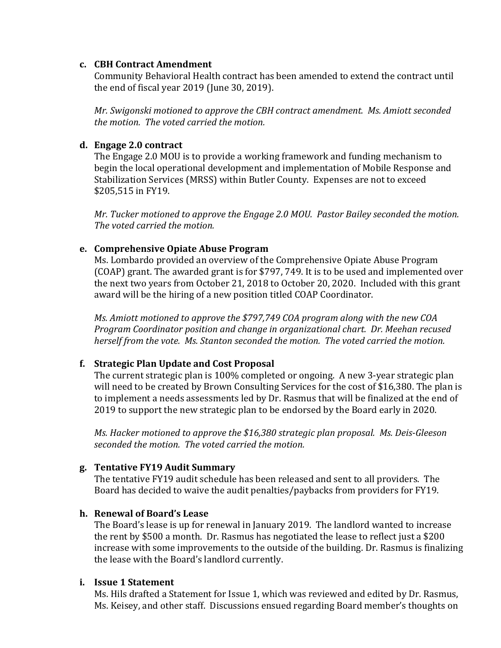#### **c. CBH Contract Amendment**

Community Behavioral Health contract has been amended to extend the contract until the end of fiscal year 2019 (June 30, 2019).

*Mr. Swigonski motioned to approve the CBH contract amendment. Ms. Amiott seconded the motion. The voted carried the motion.*

### **d. Engage 2.0 contract**

The Engage 2.0 MOU is to provide a working framework and funding mechanism to begin the local operational development and implementation of Mobile Response and Stabilization Services (MRSS) within Butler County. Expenses are not to exceed \$205,515 in FY19.

*Mr. Tucker motioned to approve the Engage 2.0 MOU. Pastor Bailey seconded the motion. The voted carried the motion.*

### **e. Comprehensive Opiate Abuse Program**

Ms. Lombardo provided an overview of the Comprehensive Opiate Abuse Program (COAP) grant. The awarded grant is for \$797, 749. It is to be used and implemented over the next two years from October 21, 2018 to October 20, 2020. Included with this grant award will be the hiring of a new position titled COAP Coordinator.

*Ms. Amiott motioned to approve the \$797,749 COA program along with the new COA Program Coordinator position and change in organizational chart. Dr. Meehan recused herself from the vote. Ms. Stanton seconded the motion. The voted carried the motion.*

# **f. Strategic Plan Update and Cost Proposal**

The current strategic plan is 100% completed or ongoing. A new 3-year strategic plan will need to be created by Brown Consulting Services for the cost of \$16,380. The plan is to implement a needs assessments led by Dr. Rasmus that will be finalized at the end of 2019 to support the new strategic plan to be endorsed by the Board early in 2020.

*Ms. Hacker motioned to approve the \$16,380 strategic plan proposal. Ms. Deis-Gleeson seconded the motion. The voted carried the motion.*

# **g. Tentative FY19 Audit Summary**

The tentative FY19 audit schedule has been released and sent to all providers. The Board has decided to waive the audit penalties/paybacks from providers for FY19.

### **h. Renewal of Board's Lease**

The Board's lease is up for renewal in January 2019. The landlord wanted to increase the rent by \$500 a month. Dr. Rasmus has negotiated the lease to reflect just a \$200 increase with some improvements to the outside of the building. Dr. Rasmus is finalizing the lease with the Board's landlord currently.

### **i. Issue 1 Statement**

Ms. Hils drafted a Statement for Issue 1, which was reviewed and edited by Dr. Rasmus, Ms. Keisey, and other staff. Discussions ensued regarding Board member's thoughts on